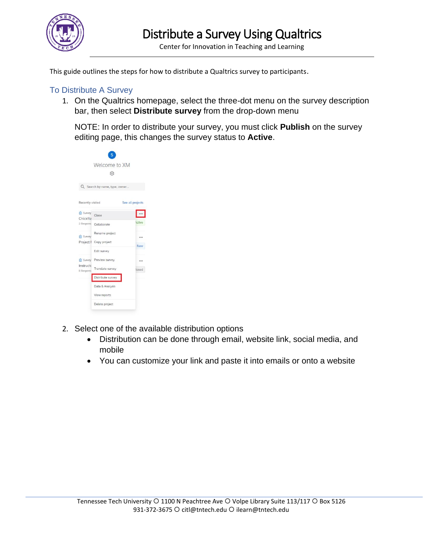

Center for Innovation in Teaching and Learning

This guide outlines the steps for how to distribute a Qualtrics survey to participants.

## To Distribute A Survey

1. On the Qualtrics homepage, select the three-dot menu on the survey description bar, then select **Distribute survey** from the drop-down menu

NOTE: In order to distribute your survey, you must click **Publish** on the survey editing page, this changes the survey status to **Active**.



- 2. Select one of the available distribution options
	- Distribution can be done through email, website link, social media, and mobile
	- You can customize your link and paste it into emails or onto a website